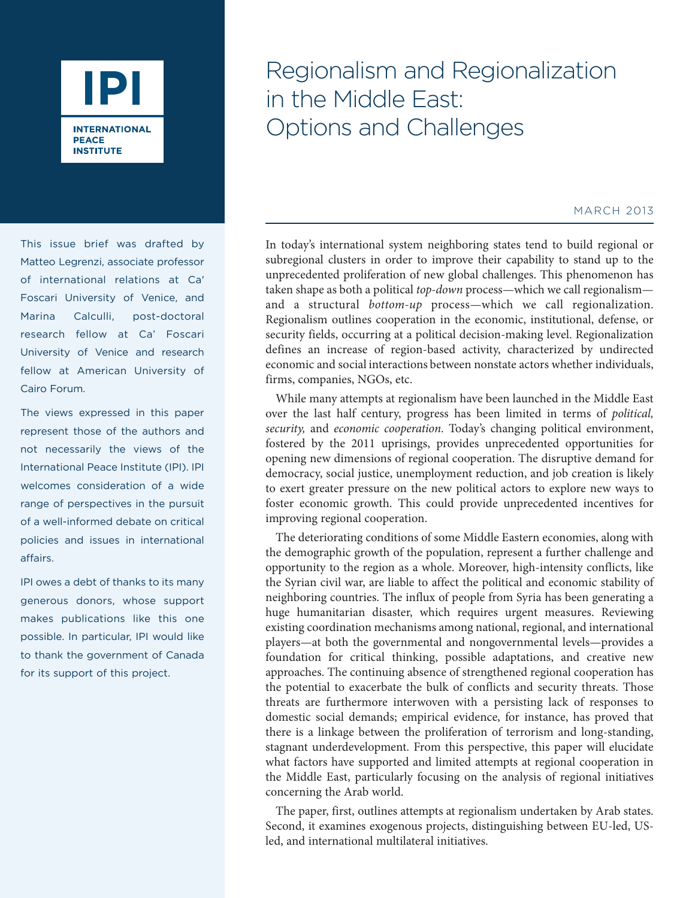

This issue brief was drafted by Matteo Legrenzi, associate professor of international relations at Ca' Foscari University of Venice, and Marina Calculli, post-doctoral research fellow at Ca' Foscari University of Venice and research fellow at American University of Cairo Forum.

The views expressed in this paper represent those of the authors and not necessarily the views of the International Peace Institute (IPI). IPI welcomes consideration of a wide range of perspectives in the pursuit of a well-informed debate on critical policies and issues in international affairs.

IPI owes a debt of thanks to its many generous donors, whose support makes publications like this one possible. In particular, IPI would like to thank the government of Canada for its support of this project.

# Regionalism and Regionalization in the Middle East: Options and Challenges

#### MARCH 2013

In today's international system neighboring states tend to build regional or subregional clusters in order to improve their capability to stand up to the unprecedented proliferation of new global challenges. This phenomenon has taken shape as both a political *top-down* process—which we call regionalism and a structural *bottom-up* process—which we call regionalization. Regionalism outlines cooperation in the economic, institutional, defense, or security fields, occurring at a political decision-making level. Regionalization defines an increase of region-based activity, characterized by undirected economic and social interactions between nonstate actors whether individuals, firms, companies, NGOs, etc.

While many attempts at regionalism have been launched in the Middle East over the last half century, progress has been limited in terms of *political, security,* and *economic cooperation*. Today's changing political environment, fostered by the 2011 uprisings, provides unprecedented opportunities for opening new dimensions of regional cooperation. The disruptive demand for democracy, social justice, unemployment reduction, and job creation is likely to exert greater pressure on the new political actors to explore new ways to foster economic growth. This could provide unprecedented incentives for improving regional cooperation.

The deteriorating conditions of some Middle Eastern economies, along with the demographic growth of the population, represent a further challenge and opportunity to the region as a whole. Moreover, high-intensity conflicts, like the Syrian civil war, are liable to affect the political and economic stability of neighboring countries. The influx of people from Syria has been generating a huge humanitarian disaster, which requires urgent measures. Reviewing existing coordination mechanisms among national, regional, and international players—at both the governmental and nongovernmental levels—provides a foundation for critical thinking, possible adaptations, and creative new approaches. The continuing absence of strengthened regional cooperation has the potential to exacerbate the bulk of conflicts and security threats. Those threats are furthermore interwoven with a persisting lack of responses to domestic social demands; empirical evidence, for instance, has proved that there is a linkage between the proliferation of terrorism and long-standing, stagnant underdevelopment. From this perspective, this paper will elucidate what factors have supported and limited attempts at regional cooperation in the Middle East, particularly focusing on the analysis of regional initiatives concerning the Arab world.

The paper, first, outlines attempts at regionalism undertaken by Arab states. Second, it examines exogenous projects, distinguishing between EU-led, USled, and international multilateral initiatives.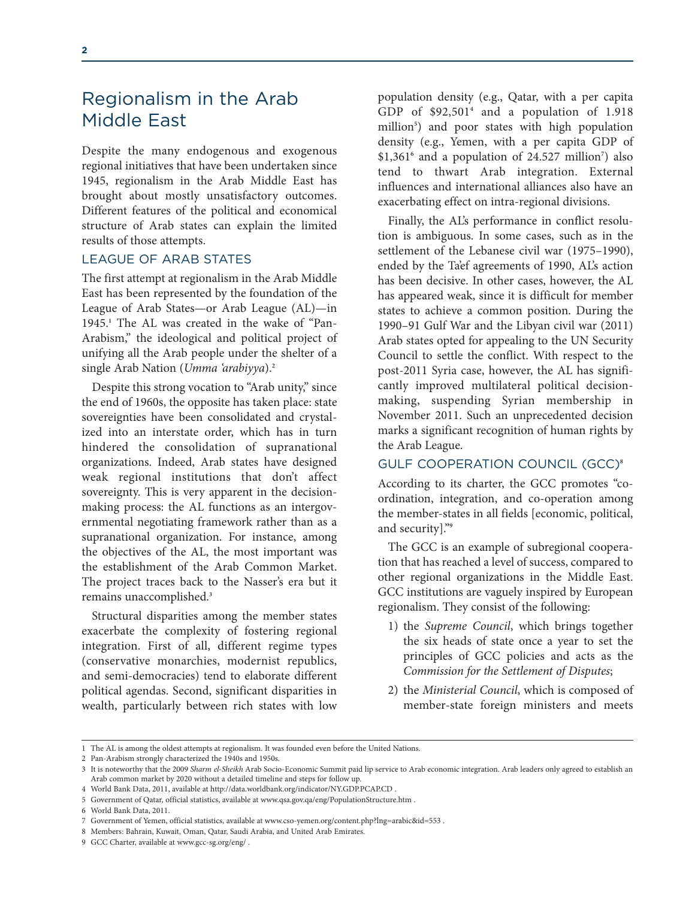# Regionalism in the Arab Middle East

Despite the many endogenous and exogenous regional initiatives that have been undertaken since 1945, regionalism in the Arab Middle East has brought about mostly unsatisfactory outcomes. Different features of the political and economical structure of Arab states can explain the limited results of those attempts.

### LEAGUE OF ARAB STATES

The first attempt at regionalism in the Arab Middle East has been represented by the foundation of the League of Arab States—or Arab League (AL)—in 1945.**<sup>1</sup>** The AL was created in the wake of "Pan-Arabism," the ideological and political project of unifying all the Arab people under the shelter of a single Arab Nation (*Umma 'arabiyya*).**<sup>2</sup>**

Despite this strong vocation to "Arab unity," since the end of 1960s, the opposite has taken place: state sovereignties have been consolidated and crystalized into an interstate order, which has in turn hindered the consolidation of supranational organizations. Indeed, Arab states have designed weak regional institutions that don't affect sovereignty. This is very apparent in the decisionmaking process: the AL functions as an intergovernmental negotiating framework rather than as a supranational organization. For instance, among the objectives of the AL, the most important was the establishment of the Arab Common Market. The project traces back to the Nasser's era but it remains unaccomplished.**<sup>3</sup>**

Structural disparities among the member states exacerbate the complexity of fostering regional integration. First of all, different regime types (conservative monarchies, modernist republics, and semi-democracies) tend to elaborate different political agendas. Second, significant disparities in wealth, particularly between rich states with low

population density (e.g., Qatar, with a per capita GDP of \$92,501**<sup>4</sup>** and a population of 1.918 million**<sup>5</sup>** ) and poor states with high population density (e.g., Yemen, with a per capita GDP of \$1,361**<sup>6</sup>** and a population of 24.527 million**<sup>7</sup>** ) also tend to thwart Arab integration. External influences and international alliances also have an exacerbating effect on intra-regional divisions.

Finally, the AL's performance in conflict resolution is ambiguous. In some cases, such as in the settlement of the Lebanese civil war (1975–1990), ended by the Ta'ef agreements of 1990, AL's action has been decisive. In other cases, however, the AL has appeared weak, since it is difficult for member states to achieve a common position. During the 1990–91 Gulf War and the Libyan civil war (2011) Arab states opted for appealing to the UN Security Council to settle the conflict. With respect to the post-2011 Syria case, however, the AL has significantly improved multilateral political decisionmaking, suspending Syrian membership in November 2011. Such an unprecedented decision marks a significant recognition of human rights by the Arab League.

#### GULF COOPERATION COUNCIL (GCC)**<sup>8</sup>**

According to its charter, the GCC promotes "coordination, integration, and co-operation among the member-states in all fields [economic, political, and security]."**<sup>9</sup>**

The GCC is an example of subregional cooperation that has reached a level of success, compared to other regional organizations in the Middle East. GCC institutions are vaguely inspired by European regionalism. They consist of the following:

- 1) the *Supreme Council*, which brings together the six heads of state once a year to set the principles of GCC policies and acts as the *Commission for the Settlement of Disputes*;
- 2) the *Ministerial Council*, which is composed of member-state foreign ministers and meets

<sup>1</sup> The AL is among the oldest attempts at regionalism. It was founded even before the United Nations.

<sup>2</sup> Pan-Arabism strongly characterized the 1940s and 1950s.

<sup>3</sup> It is noteworthy that the 2009 *Sharm el-Sheikh* Arab Socio-Economic Summit paid lip service to Arab economic integration. Arab leaders only agreed to establish an Arab common market by 2020 without a detailed timeline and steps for follow up.

<sup>4</sup> World Bank Data, 2011, available at http://data.worldbank.org/indicator/NY.GDP.PCAP.CD .

<sup>5</sup> Government of Qatar, official statistics, available at www.qsa.gov.qa/eng/PopulationStructure.htm .

<sup>6</sup> World Bank Data, 2011.

<sup>7</sup> Government of Yemen, official statistics, available at www.cso-yemen.org/content.php?lng=arabic&id=553 .

<sup>8</sup> Members: Bahrain, Kuwait, Oman, Qatar, Saudi Arabia, and United Arab Emirates.

<sup>9</sup> GCC Charter, available at www.gcc-sg.org/eng/ .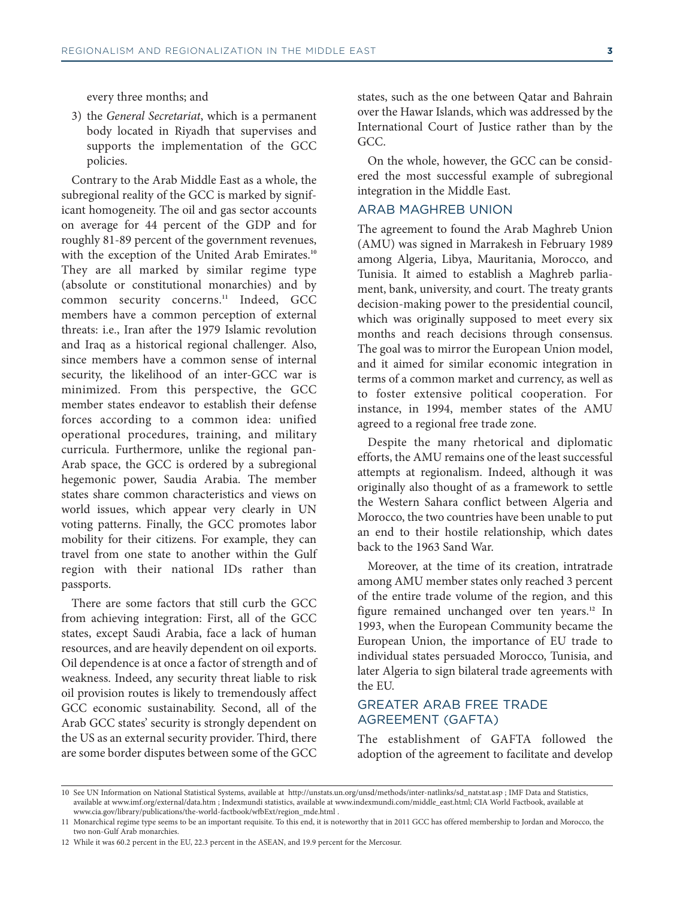#### every three months; and

3) the *General Secretariat*, which is a permanent body located in Riyadh that supervises and supports the implementation of the GCC policies.

Contrary to the Arab Middle East as a whole, the subregional reality of the GCC is marked by significant homogeneity. The oil and gas sector accounts on average for 44 percent of the GDP and for roughly 81-89 percent of the government revenues, with the exception of the United Arab Emirates.**<sup>10</sup>** They are all marked by similar regime type (absolute or constitutional monarchies) and by common security concerns.**<sup>11</sup>** Indeed, GCC members have a common perception of external threats: i.e., Iran after the 1979 Islamic revolution and Iraq as a historical regional challenger. Also, since members have a common sense of internal security, the likelihood of an inter-GCC war is minimized. From this perspective, the GCC member states endeavor to establish their defense forces according to a common idea: unified operational procedures, training, and military curricula. Furthermore, unlike the regional pan-Arab space, the GCC is ordered by a subregional hegemonic power, Saudia Arabia. The member states share common characteristics and views on world issues, which appear very clearly in UN voting patterns. Finally, the GCC promotes labor mobility for their citizens. For example, they can travel from one state to another within the Gulf region with their national IDs rather than passports.

There are some factors that still curb the GCC from achieving integration: First, all of the GCC states, except Saudi Arabia, face a lack of human resources, and are heavily dependent on oil exports. Oil dependence is at once a factor of strength and of weakness. Indeed, any security threat liable to risk oil provision routes is likely to tremendously affect GCC economic sustainability. Second, all of the Arab GCC states' security is strongly dependent on the US as an external security provider. Third, there are some border disputes between some of the GCC

states, such as the one between Qatar and Bahrain over the Hawar Islands, which was addressed by the International Court of Justice rather than by the GCC.

On the whole, however, the GCC can be considered the most successful example of subregional integration in the Middle East.

#### ARAB MAGHREB UNION

The agreement to found the Arab Maghreb Union (AMU) was signed in Marrakesh in February 1989 among Algeria, Libya, Mauritania, Morocco, and Tunisia. It aimed to establish a Maghreb parliament, bank, university, and court. The treaty grants decision-making power to the presidential council, which was originally supposed to meet every six months and reach decisions through consensus. The goal was to mirror the European Union model, and it aimed for similar economic integration in terms of a common market and currency, as well as to foster extensive political cooperation. For instance, in 1994, member states of the AMU agreed to a regional free trade zone.

Despite the many rhetorical and diplomatic efforts, the AMU remains one of the least successful attempts at regionalism. Indeed, although it was originally also thought of as a framework to settle the Western Sahara conflict between Algeria and Morocco, the two countries have been unable to put an end to their hostile relationship, which dates back to the 1963 Sand War.

Moreover, at the time of its creation, intratrade among AMU member states only reached 3 percent of the entire trade volume of the region, and this figure remained unchanged over ten years.**<sup>12</sup>** In 1993, when the European Community became the European Union, the importance of EU trade to individual states persuaded Morocco, Tunisia, and later Algeria to sign bilateral trade agreements with the EU.

## GREATER ARAB FREE TRADE AGREEMENT (GAFTA)

The establishment of GAFTA followed the adoption of the agreement to facilitate and develop

12 While it was 60.2 percent in the EU, 22.3 percent in the ASEAN, and 19.9 percent for the Mercosur.

<sup>10</sup> See UN Information on National Statistical Systems, available at http://unstats.un.org/unsd/methods/inter-natlinks/sd\_natstat.asp ; IMF Data and Statistics, available at www.imf.org/external/data.htm ; Indexmundi statistics, available at www.indexmundi.com/middle\_east.html; CIA World Factbook, available at www.cia.gov/library/publications/the-world-factbook/wfbExt/region\_mde.html .

<sup>11</sup> Monarchical regime type seems to be an important requisite. To this end, it is noteworthy that in 2011 GCC has offered membership to Jordan and Morocco, the two non-Gulf Arab monarchies.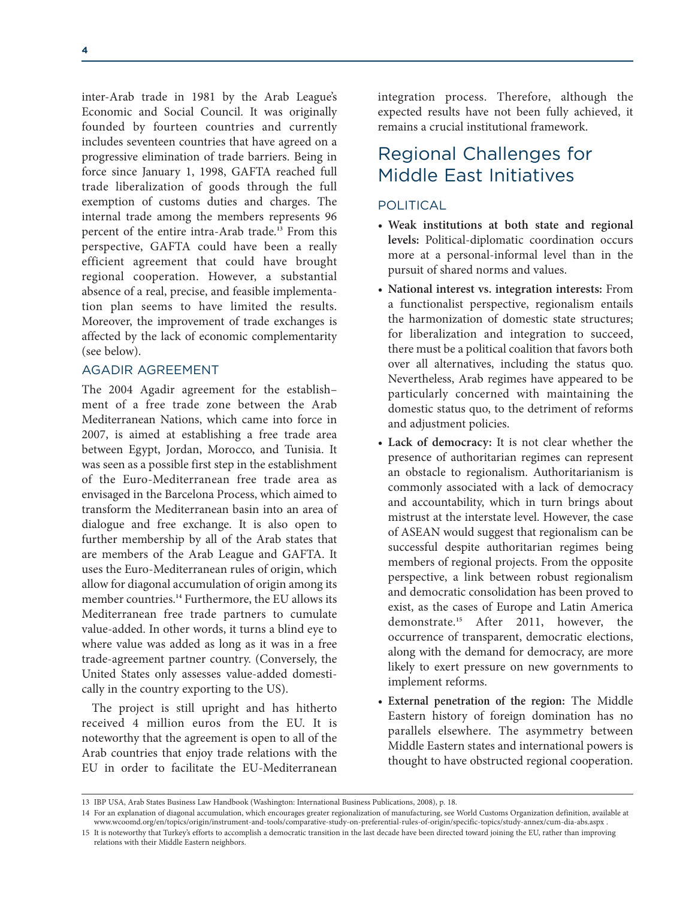inter-Arab trade in 1981 by the Arab League's Economic and Social Council. It was originally founded by fourteen countries and currently includes seventeen countries that have agreed on a progressive elimination of trade barriers. Being in force since January 1, 1998, GAFTA reached full trade liberalization of goods through the full exemption of customs duties and charges. The internal trade among the members represents 96 percent of the entire intra-Arab trade.**<sup>13</sup>** From this perspective, GAFTA could have been a really efficient agreement that could have brought regional cooperation. However, a substantial absence of a real, precise, and feasible implementation plan seems to have limited the results. Moreover, the improvement of trade exchanges is affected by the lack of economic complementarity (see below).

### AGADIR AGREEMENT

The 2004 Agadir agreement for the establishment of a free trade zone between the Arab Mediterranean Nations, which came into force in 2007, is aimed at establishing a free trade area between Egypt, Jordan, Morocco, and Tunisia. It was seen as a possible first step in the establishment of the Euro-Mediterranean free trade area as envisaged in the Barcelona Process, which aimed to transform the Mediterranean basin into an area of dialogue and free exchange. It is also open to further membership by all of the Arab states that are members of the Arab League and GAFTA. It uses the Euro-Mediterranean rules of origin, which allow for diagonal accumulation of origin among its member countries.**<sup>14</sup>** Furthermore, the EU allows its Mediterranean free trade partners to cumulate value-added. In other words, it turns a blind eye to where value was added as long as it was in a free trade-agreement partner country. (Conversely, the United States only assesses value-added domestically in the country exporting to the US).

The project is still upright and has hitherto received 4 million euros from the EU. It is noteworthy that the agreement is open to all of the Arab countries that enjoy trade relations with the EU in order to facilitate the EU-Mediterranean

integration process. Therefore, although the expected results have not been fully achieved, it remains a crucial institutional framework.

# Regional Challenges for Middle East Initiatives

### POLITICAL

- **Weak institutions at both state and regional levels:** Political-diplomatic coordination occurs more at a personal-informal level than in the pursuit of shared norms and values.
- **National interest vs. integration interests:** From a functionalist perspective, regionalism entails the harmonization of domestic state structures; for liberalization and integration to succeed, there must be a political coalition that favors both over all alternatives, including the status quo. Nevertheless, Arab regimes have appeared to be particularly concerned with maintaining the domestic status quo, to the detriment of reforms and adjustment policies.
- **Lack of democracy:** It is not clear whether the presence of authoritarian regimes can represent an obstacle to regionalism. Authoritarianism is commonly associated with a lack of democracy and accountability, which in turn brings about mistrust at the interstate level. However, the case of ASEAN would suggest that regionalism can be successful despite authoritarian regimes being members of regional projects. From the opposite perspective, a link between robust regionalism and democratic consolidation has been proved to exist, as the cases of Europe and Latin America demonstrate.**<sup>15</sup>** After 2011, however, the occurrence of transparent, democratic elections, along with the demand for democracy, are more likely to exert pressure on new governments to implement reforms.
- **External penetration of the region:** The Middle Eastern history of foreign domination has no parallels elsewhere. The asymmetry between Middle Eastern states and international powers is thought to have obstructed regional cooperation.

<sup>13</sup> IBP USA, Arab States Business Law Handbook (Washington: International Business Publications, 2008), p. 18.

<sup>14</sup> For an explanation of diagonal accumulation, which encourages greater regionalization of manufacturing, see World Customs Organization definition, available at www.wcoomd.org/en/topics/origin/instrument-and-tools/comparative-study-on-preferential-rules-of-origin/specific-topics/study-annex/cum-dia-abs.aspx .

<sup>15</sup> It is noteworthy that Turkey's efforts to accomplish a democratic transition in the last decade have been directed toward joining the EU, rather than improving relations with their Middle Eastern neighbors.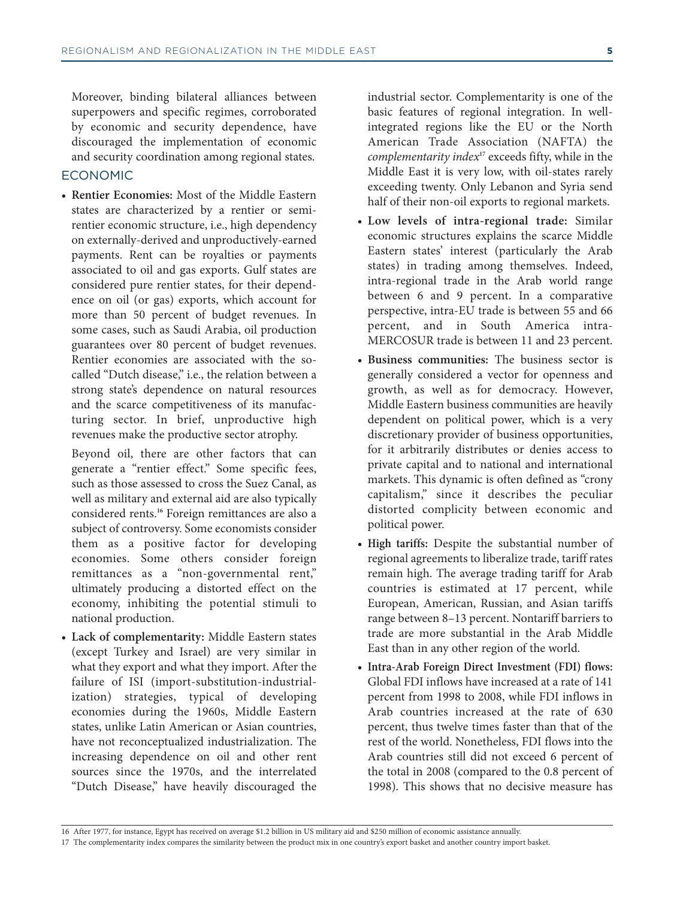Moreover, binding bilateral alliances between superpowers and specific regimes, corroborated by economic and security dependence, have discouraged the implementation of economic and security coordination among regional states.

#### ECONOMIC

• **Rentier Economies:** Most of the Middle Eastern states are characterized by a rentier or semirentier economic structure, i.e., high dependency on externally-derived and unproductively-earned payments. Rent can be royalties or payments associated to oil and gas exports. Gulf states are considered pure rentier states, for their dependence on oil (or gas) exports, which account for more than 50 percent of budget revenues. In some cases, such as Saudi Arabia, oil production guarantees over 80 percent of budget revenues. Rentier economies are associated with the socalled "Dutch disease," i.e., the relation between a strong state's dependence on natural resources and the scarce competitiveness of its manufacturing sector. In brief, unproductive high revenues make the productive sector atrophy.

Beyond oil, there are other factors that can generate a "rentier effect." Some specific fees, such as those assessed to cross the Suez Canal, as well as military and external aid are also typically considered rents.**<sup>16</sup>** Foreign remittances are also a subject of controversy. Some economists consider them as a positive factor for developing economies. Some others consider foreign remittances as a "non-governmental rent," ultimately producing a distorted effect on the economy, inhibiting the potential stimuli to national production.

• **Lack of complementarity:** Middle Eastern states (except Turkey and Israel) are very similar in what they export and what they import. After the failure of ISI (import-substitution-industrial ization) strategies, typical of developing economies during the 1960s, Middle Eastern states, unlike Latin American or Asian countries, have not reconceptualized industrialization. The increasing dependence on oil and other rent sources since the 1970s, and the interrelated "Dutch Disease," have heavily discouraged the

industrial sector. Complementarity is one of the basic features of regional integration. In wellintegrated regions like the EU or the North American Trade Association (NAFTA) the *complementarity index***<sup>17</sup>** exceeds fifty, while in the Middle East it is very low, with oil-states rarely exceeding twenty. Only Lebanon and Syria send half of their non-oil exports to regional markets.

- **Low levels of intra-regional trade:** Similar economic structures explains the scarce Middle Eastern states' interest (particularly the Arab states) in trading among themselves. Indeed, intra-regional trade in the Arab world range between 6 and 9 percent. In a comparative perspective, intra-EU trade is between 55 and 66 percent, and in South America intra-MERCOSUR trade is between 11 and 23 percent.
- **Business communities:** The business sector is generally considered a vector for openness and growth, as well as for democracy. However, Middle Eastern business communities are heavily dependent on political power, which is a very discretionary provider of business opportunities, for it arbitrarily distributes or denies access to private capital and to national and international markets. This dynamic is often defined as "crony capitalism," since it describes the peculiar distorted complicity between economic and political power.
- **High tariffs:** Despite the substantial number of regional agreements to liberalize trade, tariff rates remain high. The average trading tariff for Arab countries is estimated at 17 percent, while European, American, Russian, and Asian tariffs range between 8–13 percent. Nontariff barriers to trade are more substantial in the Arab Middle East than in any other region of the world.
- **Intra-Arab Foreign Direct Investment (FDI) flows:** Global FDI inflows have increased at a rate of 141 percent from 1998 to 2008, while FDI inflows in Arab countries increased at the rate of 630 percent, thus twelve times faster than that of the rest of the world. Nonetheless, FDI flows into the Arab countries still did not exceed 6 percent of the total in 2008 (compared to the 0.8 percent of 1998). This shows that no decisive measure has

17 The complementarity index compares the similarity between the product mix in one country's export basket and another country import basket.

<sup>16</sup> After 1977, for instance, Egypt has received on average \$1.2 billion in US military aid and \$250 million of economic assistance annually.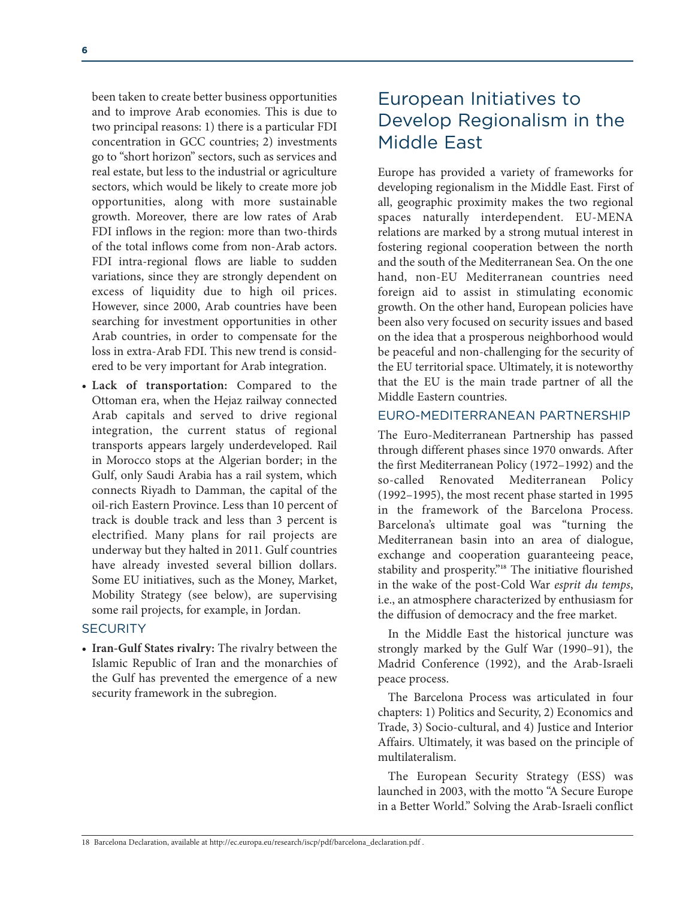been taken to create better business opportunities and to improve Arab economies. This is due to two principal reasons: 1) there is a particular FDI concentration in GCC countries; 2) investments go to "short horizon" sectors, such as services and real estate, but less to the industrial or agriculture sectors, which would be likely to create more job opportunities, along with more sustainable growth. Moreover, there are low rates of Arab FDI inflows in the region: more than two-thirds of the total inflows come from non-Arab actors. FDI intra-regional flows are liable to sudden variations, since they are strongly dependent on excess of liquidity due to high oil prices. However, since 2000, Arab countries have been searching for investment opportunities in other Arab countries, in order to compensate for the loss in extra-Arab FDI. This new trend is considered to be very important for Arab integration.

• **Lack of transportation:** Compared to the Ottoman era, when the Hejaz railway connected Arab capitals and served to drive regional integration, the current status of regional transports appears largely underdeveloped. Rail in Morocco stops at the Algerian border; in the Gulf, only Saudi Arabia has a rail system, which connects Riyadh to Damman, the capital of the oil-rich Eastern Province. Less than 10 percent of track is double track and less than 3 percent is electrified. Many plans for rail projects are underway but they halted in 2011. Gulf countries have already invested several billion dollars. Some EU initiatives, such as the Money, Market, Mobility Strategy (see below), are supervising some rail projects, for example, in Jordan.

#### **SECURITY**

• **Iran-Gulf States rivalry:** The rivalry between the Islamic Republic of Iran and the monarchies of the Gulf has prevented the emergence of a new security framework in the subregion.

# European Initiatives to Develop Regionalism in the Middle East

Europe has provided a variety of frameworks for developing regionalism in the Middle East. First of all, geographic proximity makes the two regional spaces naturally interdependent. EU-MENA relations are marked by a strong mutual interest in fostering regional cooperation between the north and the south of the Mediterranean Sea. On the one hand, non-EU Mediterranean countries need foreign aid to assist in stimulating economic growth. On the other hand, European policies have been also very focused on security issues and based on the idea that a prosperous neighborhood would be peaceful and non-challenging for the security of the EU territorial space. Ultimately, it is noteworthy that the EU is the main trade partner of all the Middle Eastern countries.

### EURO-MEDITERRANEAN PARTNERSHIP

The Euro-Mediterranean Partnership has passed through different phases since 1970 onwards. After the first Mediterranean Policy (1972–1992) and the so-called Renovated Mediterranean Policy (1992–1995), the most recent phase started in 1995 in the framework of the Barcelona Process. Barcelona's ultimate goal was "turning the Mediterranean basin into an area of dialogue, exchange and cooperation guaranteeing peace, stability and prosperity."**<sup>18</sup>** The initiative flourished in the wake of the post-Cold War *esprit du temps*, i.e., an atmosphere characterized by enthusiasm for the diffusion of democracy and the free market.

In the Middle East the historical juncture was strongly marked by the Gulf War (1990–91), the Madrid Conference (1992), and the Arab-Israeli peace process.

The Barcelona Process was articulated in four chapters: 1) Politics and Security, 2) Economics and Trade, 3) Socio-cultural, and 4) Justice and Interior Affairs. Ultimately, it was based on the principle of multilateralism.

The European Security Strategy (ESS) was launched in 2003, with the motto "A Secure Europe in a Better World." Solving the Arab-Israeli conflict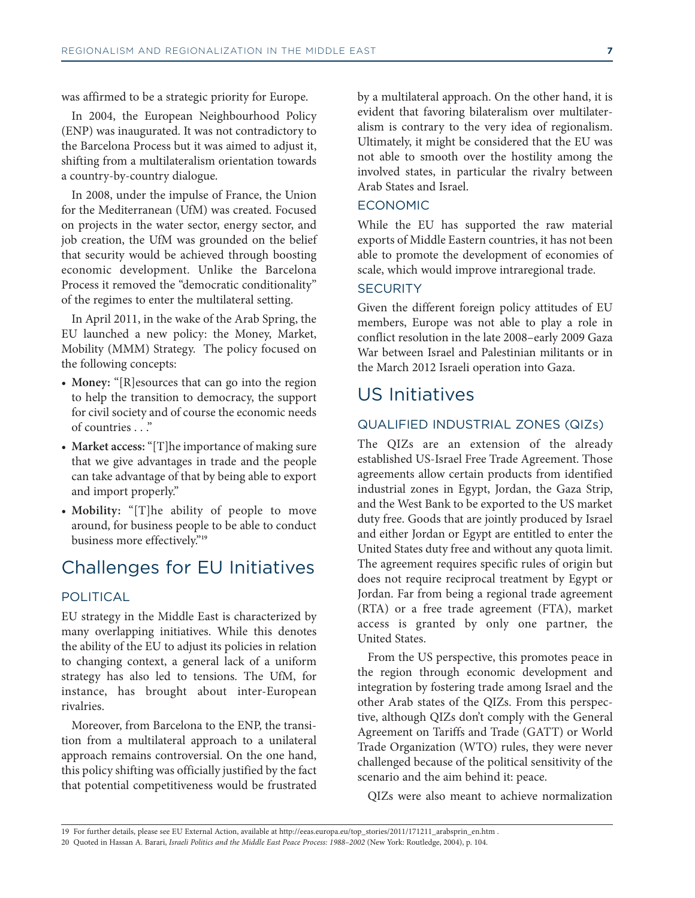was affirmed to be a strategic priority for Europe.

In 2004, the European Neighbourhood Policy (ENP) was inaugurated. It was not contradictory to the Barcelona Process but it was aimed to adjust it, shifting from a multilateralism orientation towards a country-by-country dialogue.

In 2008, under the impulse of France, the Union for the Mediterranean (UfM) was created. Focused on projects in the water sector, energy sector, and job creation, the UfM was grounded on the belief that security would be achieved through boosting economic development. Unlike the Barcelona Process it removed the "democratic conditionality" of the regimes to enter the multilateral setting.

In April 2011, in the wake of the Arab Spring, the EU launched a new policy: the Money, Market, Mobility (MMM) Strategy. The policy focused on the following concepts:

- **Money:** "[R]esources that can go into the region to help the transition to democracy, the support for civil society and of course the economic needs of countries . . ."
- **Market access:**"[T]he importance of making sure that we give advantages in trade and the people can take advantage of that by being able to export and import properly."
- **Mobility:** "[T]he ability of people to move around, for business people to be able to conduct business more effectively."**<sup>19</sup>**

# Challenges for EU Initiatives

### POLITICAL

EU strategy in the Middle East is characterized by many overlapping initiatives. While this denotes the ability of the EU to adjust its policies in relation to changing context, a general lack of a uniform strategy has also led to tensions. The UfM, for instance, has brought about inter-European rivalries.

Moreover, from Barcelona to the ENP, the transition from a multilateral approach to a unilateral approach remains controversial. On the one hand, this policy shifting was officially justified by the fact that potential competitiveness would be frustrated by a multilateral approach. On the other hand, it is evident that favoring bilateralism over multilateralism is contrary to the very idea of regionalism. Ultimately, it might be considered that the EU was not able to smooth over the hostility among the involved states, in particular the rivalry between Arab States and Israel.

### ECONOMIC

While the EU has supported the raw material exports of Middle Eastern countries, it has not been able to promote the development of economies of scale, which would improve intraregional trade.

#### **SECURITY**

Given the different foreign policy attitudes of EU members, Europe was not able to play a role in conflict resolution in the late 2008–early 2009 Gaza War between Israel and Palestinian militants or in the March 2012 Israeli operation into Gaza.

# US Initiatives

### QUALIFIED INDUSTRIAL ZONES (QIZs)

The QIZs are an extension of the already established US-Israel Free Trade Agreement. Those agreements allow certain products from identified industrial zones in Egypt, Jordan, the Gaza Strip, and the West Bank to be exported to the US market duty free. Goods that are jointly produced by Israel and either Jordan or Egypt are entitled to enter the United States duty free and without any quota limit. The agreement requires specific rules of origin but does not require reciprocal treatment by Egypt or Jordan. Far from being a regional trade agreement (RTA) or a free trade agreement (FTA), market access is granted by only one partner, the United States.

From the US perspective, this promotes peace in the region through economic development and integration by fostering trade among Israel and the other Arab states of the QIZs. From this perspective, although QIZs don't comply with the General Agreement on Tariffs and Trade (GATT) or World Trade Organization (WTO) rules, they were never challenged because of the political sensitivity of the scenario and the aim behind it: peace.

QIZs were also meant to achieve normalization

<sup>19</sup> For further details, please see EU External Action, available at http://eeas.europa.eu/top\_stories/2011/171211\_arabsprin\_en.htm .

<sup>20</sup> Quoted in Hassan A. Barari, *Israeli Politics and the Middle East Peace Process: 1988–2002* (New York: Routledge, 2004), p. 104.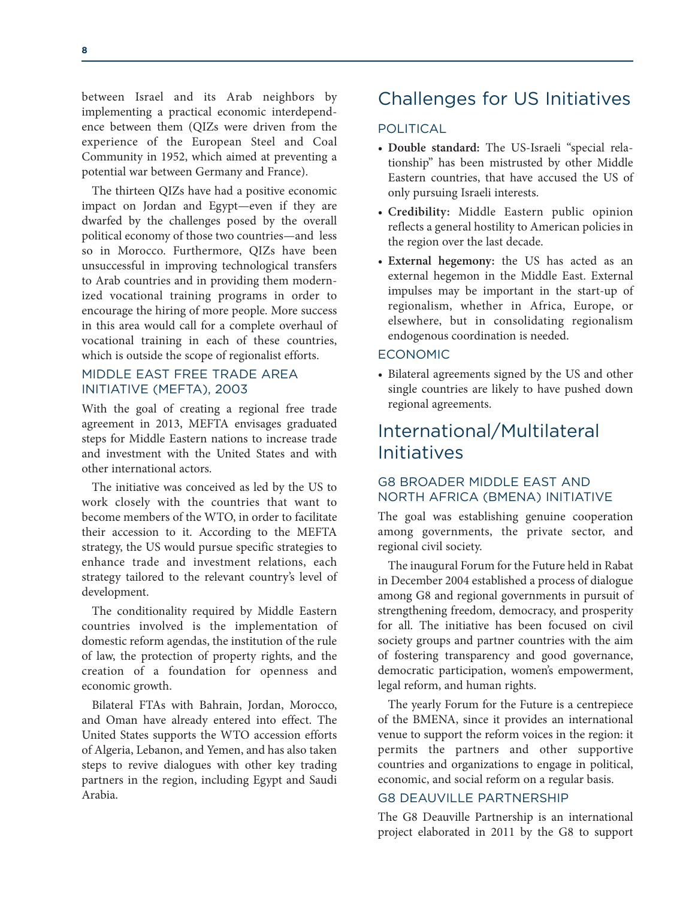between Israel and its Arab neighbors by implementing a practical economic interdependence between them (QIZs were driven from the experience of the European Steel and Coal Community in 1952, which aimed at preventing a potential war between Germany and France).

The thirteen QIZs have had a positive economic impact on Jordan and Egypt—even if they are dwarfed by the challenges posed by the overall political economy of those two countries—and less so in Morocco. Furthermore, QIZs have been unsuccessful in improving technological transfers to Arab countries and in providing them modernized vocational training programs in order to encourage the hiring of more people. More success in this area would call for a complete overhaul of vocational training in each of these countries, which is outside the scope of regionalist efforts.

### MIDDLE EAST FREE TRADE AREA INITIATIVE (MEFTA), 2003

With the goal of creating a regional free trade agreement in 2013, MEFTA envisages graduated steps for Middle Eastern nations to increase trade and investment with the United States and with other international actors.

The initiative was conceived as led by the US to work closely with the countries that want to become members of the WTO, in order to facilitate their accession to it. According to the MEFTA strategy, the US would pursue specific strategies to enhance trade and investment relations, each strategy tailored to the relevant country's level of development.

The conditionality required by Middle Eastern countries involved is the implementation of domestic reform agendas, the institution of the rule of law, the protection of property rights, and the creation of a foundation for openness and economic growth.

Bilateral FTAs with Bahrain, Jordan, Morocco, and Oman have already entered into effect. The United States supports the WTO accession efforts of Algeria, Lebanon, and Yemen, and has also taken steps to revive dialogues with other key trading partners in the region, including Egypt and Saudi Arabia.

# Challenges for US Initiatives

### POLITICAL

- **Double standard:** The US-Israeli "special rela tionship" has been mistrusted by other Middle Eastern countries, that have accused the US of only pursuing Israeli interests.
- **Credibility:** Middle Eastern public opinion reflects a general hostility to American policies in the region over the last decade.
- **External hegemony:** the US has acted as an external hegemon in the Middle East. External impulses may be important in the start-up of regionalism, whether in Africa, Europe, or elsewhere, but in consolidating regionalism endogenous coordination is needed.

### ECONOMIC

• Bilateral agreements signed by the US and other single countries are likely to have pushed down regional agreements.

# International/Multilateral Initiatives

### G8 BROADER MIDDLE EAST AND NORTH AFRICA (BMENA) INITIATIVE

The goal was establishing genuine cooperation among governments, the private sector, and regional civil society.

The inaugural Forum for the Future held in Rabat in December 2004 established a process of dialogue among G8 and regional governments in pursuit of strengthening freedom, democracy, and prosperity for all. The initiative has been focused on civil society groups and partner countries with the aim of fostering transparency and good governance, democratic participation, women's empowerment, legal reform, and human rights.

The yearly Forum for the Future is a centrepiece of the BMENA, since it provides an international venue to support the reform voices in the region: it permits the partners and other supportive countries and organizations to engage in political, economic, and social reform on a regular basis.

### G8 DEAUVILLE PARTNERSHIP

The G8 Deauville Partnership is an international project elaborated in 2011 by the G8 to support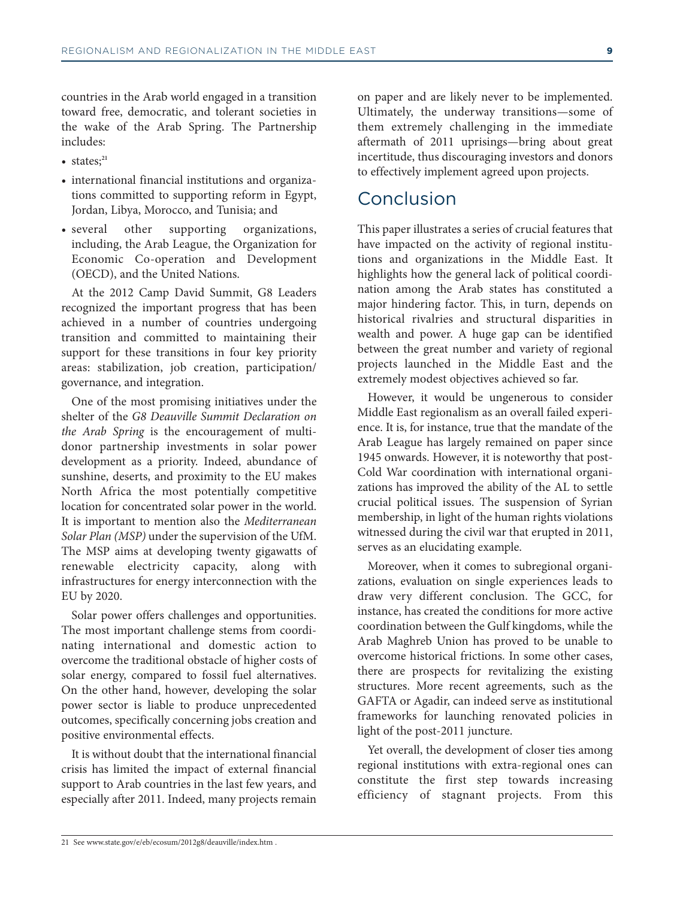countries in the Arab world engaged in a transition toward free, democratic, and tolerant societies in the wake of the Arab Spring. The Partnership includes:

- states;**<sup>21</sup>**
- international financial institutions and organizations committed to supporting reform in Egypt, Jordan, Libya, Morocco, and Tunisia; and
- several other supporting organizations, including, the Arab League, the Organization for Economic Co-operation and Development (OECD), and the United Nations.

At the 2012 Camp David Summit, G8 Leaders recognized the important progress that has been achieved in a number of countries undergoing transition and committed to maintaining their support for these transitions in four key priority areas: stabilization, job creation, participation/ governance, and integration.

One of the most promising initiatives under the shelter of the *G8 Deauville Summit Declaration on the Arab Spring* is the encouragement of multidonor partnership investments in solar power development as a priority. Indeed, abundance of sunshine, deserts, and proximity to the EU makes North Africa the most potentially competitive location for concentrated solar power in the world. It is important to mention also the *Mediterranean Solar Plan (MSP)* under the supervision of the UfM. The MSP aims at developing twenty gigawatts of renewable electricity capacity, along with infrastructures for energy interconnection with the EU by 2020.

Solar power offers challenges and opportunities. The most important challenge stems from coordinating international and domestic action to overcome the traditional obstacle of higher costs of solar energy, compared to fossil fuel alternatives. On the other hand, however, developing the solar power sector is liable to produce unprecedented outcomes, specifically concerning jobs creation and positive environmental effects.

It is without doubt that the international financial crisis has limited the impact of external financial support to Arab countries in the last few years, and especially after 2011. Indeed, many projects remain on paper and are likely never to be implemented. Ultimately, the underway transitions—some of them extremely challenging in the immediate aftermath of 2011 uprisings—bring about great incertitude, thus discouraging investors and donors to effectively implement agreed upon projects.

# Conclusion

This paper illustrates a series of crucial features that have impacted on the activity of regional institutions and organizations in the Middle East. It highlights how the general lack of political coordination among the Arab states has constituted a major hindering factor. This, in turn, depends on historical rivalries and structural disparities in wealth and power. A huge gap can be identified between the great number and variety of regional projects launched in the Middle East and the extremely modest objectives achieved so far.

However, it would be ungenerous to consider Middle East regionalism as an overall failed experience. It is, for instance, true that the mandate of the Arab League has largely remained on paper since 1945 onwards. However, it is noteworthy that post-Cold War coordination with international organizations has improved the ability of the AL to settle crucial political issues. The suspension of Syrian membership, in light of the human rights violations witnessed during the civil war that erupted in 2011, serves as an elucidating example.

Moreover, when it comes to subregional organizations, evaluation on single experiences leads to draw very different conclusion. The GCC, for instance, has created the conditions for more active coordination between the Gulf kingdoms, while the Arab Maghreb Union has proved to be unable to overcome historical frictions. In some other cases, there are prospects for revitalizing the existing structures. More recent agreements, such as the GAFTA or Agadir, can indeed serve as institutional frameworks for launching renovated policies in light of the post-2011 juncture.

Yet overall, the development of closer ties among regional institutions with extra-regional ones can constitute the first step towards increasing efficiency of stagnant projects. From this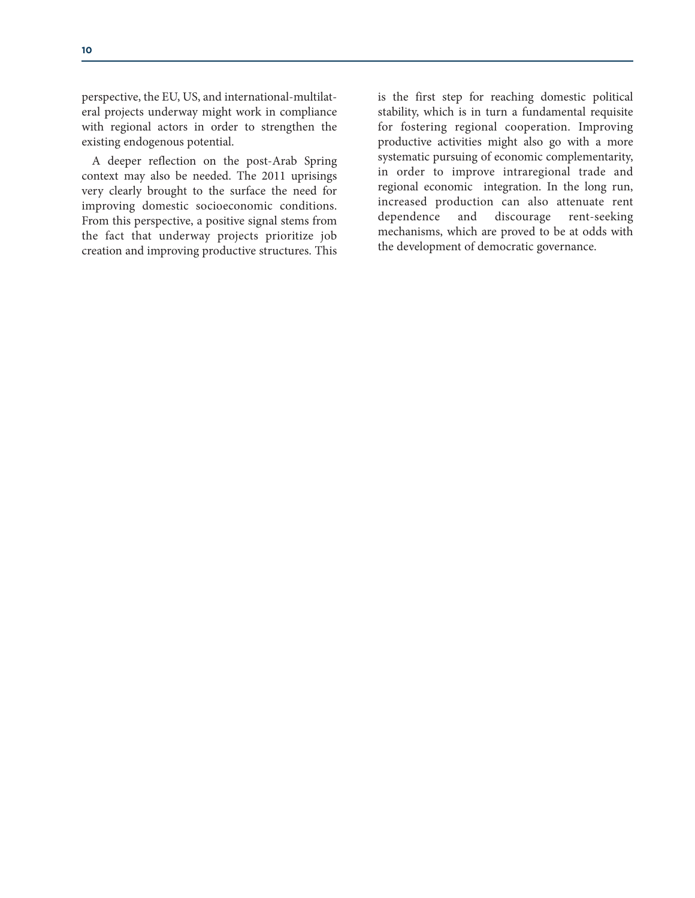perspective, the EU, US, and international-multilateral projects underway might work in compliance with regional actors in order to strengthen the existing endogenous potential.

A deeper reflection on the post-Arab Spring context may also be needed. The 2011 uprisings very clearly brought to the surface the need for improving domestic socioeconomic conditions. From this perspective, a positive signal stems from the fact that underway projects prioritize job creation and improving productive structures. This

is the first step for reaching domestic political stability, which is in turn a fundamental requisite for fostering regional cooperation. Improving productive activities might also go with a more systematic pursuing of economic complementarity, in order to improve intraregional trade and regional economic integration. In the long run, increased production can also attenuate rent dependence and discourage rent-seeking mechanisms, which are proved to be at odds with the development of democratic governance.